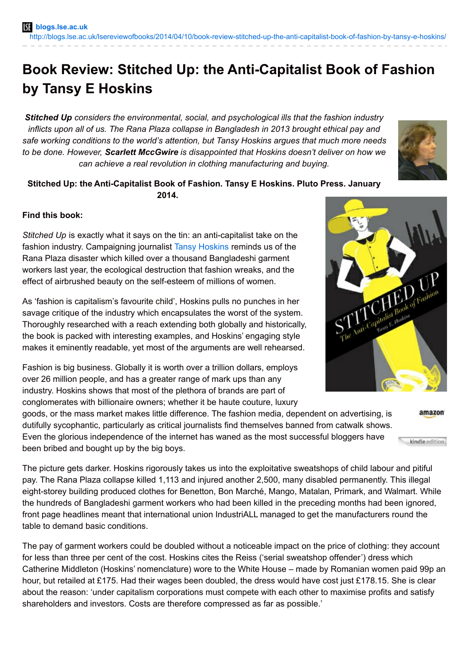## **Book Review: Stitched Up: the Anti-Capitalist Book of Fashion by Tansy E Hoskins**

*Stitched Up considers the environmental, social, and psychological ills that the fashion industry inflicts upon all of us. The Rana Plaza collapse in Bangladesh in 2013 brought ethical pay and safe working conditions to the world's attention, but Tansy Hoskins argues that much more needs to be done. However, Scarlett MccGwire is disappointed that Hoskins doesn't deliver on how we can achieve a real revolution in clothing manufacturing and buying.*



## **Stitched Up: the Anti-Capitalist Book of Fashion. Tansy E Hoskins. Pluto Press. January 2014.**

## **Find this book:**

*Stitched Up* is exactly what it says on the tin: an anti-capitalist take on the fashion industry. Campaigning journalist Tansy [Hoskins](http://www.tansyhoskins.org/) reminds us of the Rana Plaza disaster which killed over a thousand Bangladeshi garment workers last year, the ecological destruction that fashion wreaks, and the effect of airbrushed beauty on the self-esteem of millions of women.

As 'fashion is capitalism's favourite child', Hoskins pulls no punches in her savage critique of the industry which encapsulates the worst of the system. Thoroughly researched with a reach extending both globally and historically, the book is packed with interesting examples, and Hoskins' engaging style makes it eminently readable, yet most of the arguments are well rehearsed.

Fashion is big business. Globally it is worth over a trillion dollars, employs over 26 million people, and has a greater range of mark ups than any industry. Hoskins shows that most of the plethora of brands are part of conglomerates with billionaire owners; whether it be haute couture, luxury

goods, or the mass market makes little difference. The fashion media, dependent on advertising, is dutifully sycophantic, particularly as critical journalists find themselves banned from catwalk shows. Even the glorious independence of the internet has waned as the most successful bloggers have been bribed and bought up by the big boys.

The picture gets darker. Hoskins rigorously takes us into the exploitative sweatshops of child labour and pitiful pay. The Rana Plaza collapse killed 1,113 and injured another 2,500, many disabled permanently. This illegal eight-storey building produced clothes for Benetton, Bon Marché, Mango, Matalan, Primark, and Walmart. While the hundreds of Bangladeshi garment workers who had been killed in the preceding months had been ignored, front page headlines meant that international union IndustriALL managed to get the manufacturers round the table to demand basic conditions.

The pay of garment workers could be doubled without a noticeable impact on the price of clothing: they account for less than three per cent of the cost. Hoskins cites the Reiss ('serial sweatshop offender') dress which Catherine Middleton (Hoskins' nomenclature) wore to the White House – made by Romanian women paid 99p an hour, but retailed at £175. Had their wages been doubled, the dress would have cost just £178.15. She is clear about the reason: 'under capitalism corporations must compete with each other to maximise profits and satisfy shareholders and investors. Costs are therefore compressed as far as possible.'



amazon

kindle edition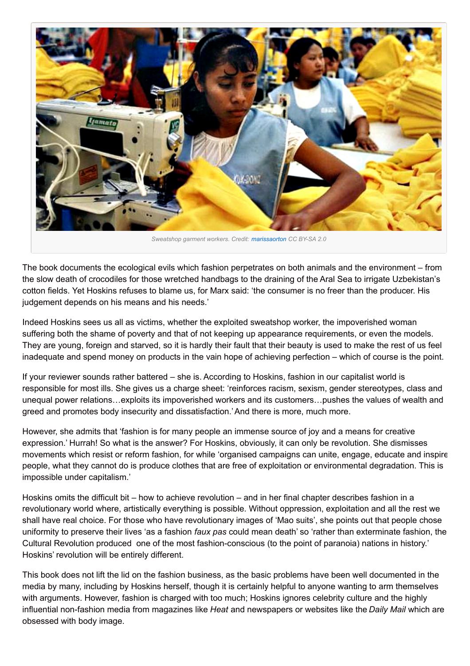

The book documents the ecological evils which fashion perpetrates on both animals and the environment – from the slow death of crocodiles for those wretched handbags to the draining of the Aral Sea to irrigate Uzbekistan's cotton fields. Yet Hoskins refuses to blame us, for Marx said: 'the consumer is no freer than the producer. His judgement depends on his means and his needs.'

Indeed Hoskins sees us all as victims, whether the exploited sweatshop worker, the impoverished woman suffering both the shame of poverty and that of not keeping up appearance requirements, or even the models. They are young, foreign and starved, so it is hardly their fault that their beauty is used to make the rest of us feel inadequate and spend money on products in the vain hope of achieving perfection – which of course is the point.

If your reviewer sounds rather battered – she is. According to Hoskins, fashion in our capitalist world is responsible for most ills. She gives us a charge sheet: 'reinforces racism, sexism, gender stereotypes, class and unequal power relations…exploits its impoverished workers and its customers…pushes the values of wealth and greed and promotes body insecurity and dissatisfaction.'And there is more, much more.

However, she admits that 'fashion is for many people an immense source of joy and a means for creative expression.' Hurrah! So what is the answer? For Hoskins, obviously, it can only be revolution. She dismisses movements which resist or reform fashion, for while 'organised campaigns can unite, engage, educate and inspire people, what they cannot do is produce clothes that are free of exploitation or environmental degradation. This is impossible under capitalism.'

Hoskins omits the difficult bit – how to achieve revolution – and in her final chapter describes fashion in a revolutionary world where, artistically everything is possible. Without oppression, exploitation and all the rest we shall have real choice. For those who have revolutionary images of 'Mao suits', she points out that people chose uniformity to preserve their lives 'as a fashion *faux pas* could mean death' so 'rather than exterminate fashion, the Cultural Revolution produced one of the most fashion-conscious (to the point of paranoia) nations in history.' Hoskins' revolution will be entirely different.

This book does not lift the lid on the fashion business, as the basic problems have been well documented in the media by many, including by Hoskins herself, though it is certainly helpful to anyone wanting to arm themselves with arguments. However, fashion is charged with too much; Hoskins ignores celebrity culture and the highly influential non-fashion media from magazines like *Heat* and newspapers or websites like the *Daily Mail* which are obsessed with body image.